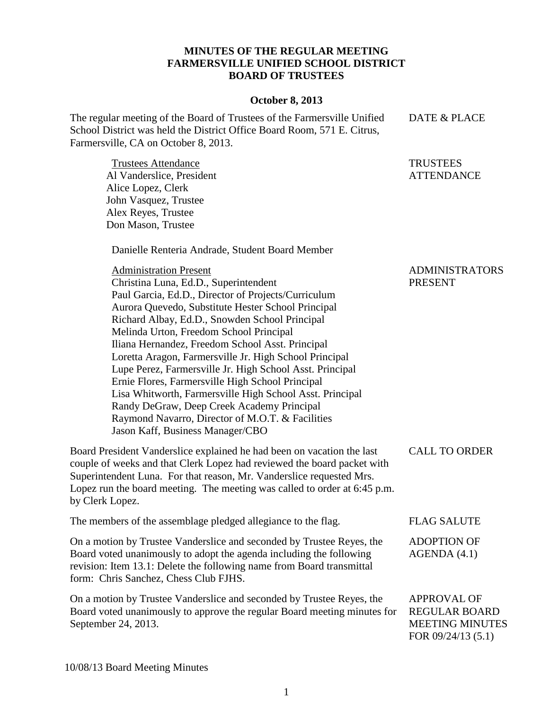## **MINUTES OF THE REGULAR MEETING FARMERSVILLE UNIFIED SCHOOL DISTRICT BOARD OF TRUSTEES**

## **October 8, 2013**

The regular meeting of the Board of Trustees of the Farmersville Unified School District was held the District Office Board Room, 571 E. Citrus, Farmersville, CA on October 8, 2013. DATE & PLACE

Trustees Attendance Al Vanderslice, President Alice Lopez, Clerk John Vasquez, Trustee Alex Reyes, Trustee Don Mason, Trustee **TRUSTEES ATTENDANCE** 

Danielle Renteria Andrade, Student Board Member

| <b>Administration Present</b>                                                                                                                                                                                                                                                                                             | <b>ADMINISTRATORS</b>                      |
|---------------------------------------------------------------------------------------------------------------------------------------------------------------------------------------------------------------------------------------------------------------------------------------------------------------------------|--------------------------------------------|
| Christina Luna, Ed.D., Superintendent                                                                                                                                                                                                                                                                                     | <b>PRESENT</b>                             |
| Paul Garcia, Ed.D., Director of Projects/Curriculum                                                                                                                                                                                                                                                                       |                                            |
| Aurora Quevedo, Substitute Hester School Principal                                                                                                                                                                                                                                                                        |                                            |
| Richard Albay, Ed.D., Snowden School Principal                                                                                                                                                                                                                                                                            |                                            |
| Melinda Urton, Freedom School Principal                                                                                                                                                                                                                                                                                   |                                            |
| Iliana Hernandez, Freedom School Asst. Principal                                                                                                                                                                                                                                                                          |                                            |
| Loretta Aragon, Farmersville Jr. High School Principal                                                                                                                                                                                                                                                                    |                                            |
| Lupe Perez, Farmersville Jr. High School Asst. Principal                                                                                                                                                                                                                                                                  |                                            |
| Ernie Flores, Farmersville High School Principal                                                                                                                                                                                                                                                                          |                                            |
| Lisa Whitworth, Farmersville High School Asst. Principal                                                                                                                                                                                                                                                                  |                                            |
| Randy DeGraw, Deep Creek Academy Principal                                                                                                                                                                                                                                                                                |                                            |
| Raymond Navarro, Director of M.O.T. & Facilities                                                                                                                                                                                                                                                                          |                                            |
| Jason Kaff, Business Manager/CBO                                                                                                                                                                                                                                                                                          |                                            |
| Board President Vanderslice explained he had been on vacation the last<br>couple of weeks and that Clerk Lopez had reviewed the board packet with<br>Superintendent Luna. For that reason, Mr. Vanderslice requested Mrs.<br>Lopez run the board meeting. The meeting was called to order at 6:45 p.m.<br>by Clerk Lopez. | <b>CALL TO ORDER</b>                       |
| The members of the assemblage pledged allegiance to the flag.                                                                                                                                                                                                                                                             | <b>FLAG SALUTE</b>                         |
| On a motion by Trustee Vanderslice and seconded by Trustee Reyes, the<br>Board voted unanimously to adopt the agenda including the following<br>revision: Item 13.1: Delete the following name from Board transmittal<br>form: Chris Sanchez, Chess Club FJHS.                                                            | <b>ADOPTION OF</b><br>AGENDA(4.1)          |
| On a motion by Trustee Vanderslice and seconded by Trustee Reyes, the<br>Board voted unanimously to approve the regular Board meeting minutes for                                                                                                                                                                         | <b>APPROVAL OF</b><br><b>REGULAR BOARD</b> |

September 24, 2013.

REGULAR BOARD MEETING MINUTES FOR 09/24/13 (5.1)

10/08/13 Board Meeting Minutes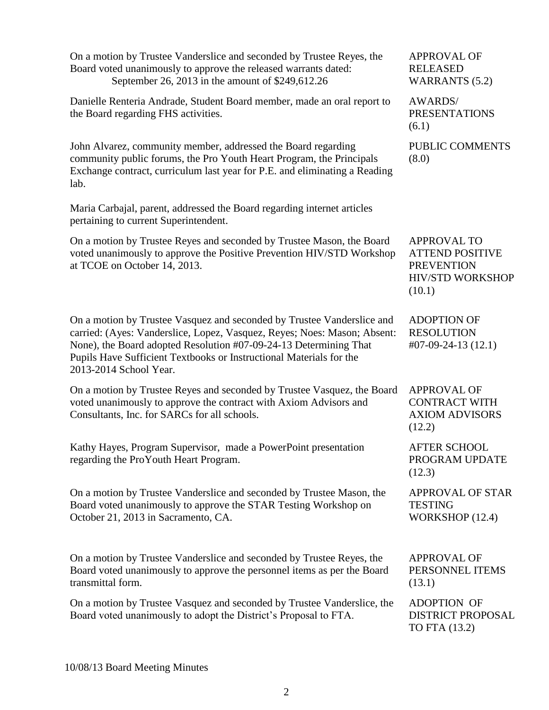| On a motion by Trustee Vanderslice and seconded by Trustee Reyes, the<br>Board voted unanimously to approve the released warrants dated:<br>September 26, 2013 in the amount of \$249,612.26                                                                                                                             | <b>APPROVAL OF</b><br><b>RELEASED</b><br><b>WARRANTS</b> (5.2)                                         |
|--------------------------------------------------------------------------------------------------------------------------------------------------------------------------------------------------------------------------------------------------------------------------------------------------------------------------|--------------------------------------------------------------------------------------------------------|
| Danielle Renteria Andrade, Student Board member, made an oral report to<br>the Board regarding FHS activities.                                                                                                                                                                                                           | <b>AWARDS/</b><br><b>PRESENTATIONS</b><br>(6.1)                                                        |
| John Alvarez, community member, addressed the Board regarding<br>community public forums, the Pro Youth Heart Program, the Principals<br>Exchange contract, curriculum last year for P.E. and eliminating a Reading<br>lab.                                                                                              | PUBLIC COMMENTS<br>(8.0)                                                                               |
| Maria Carbajal, parent, addressed the Board regarding internet articles<br>pertaining to current Superintendent.                                                                                                                                                                                                         |                                                                                                        |
| On a motion by Trustee Reyes and seconded by Trustee Mason, the Board<br>voted unanimously to approve the Positive Prevention HIV/STD Workshop<br>at TCOE on October 14, 2013.                                                                                                                                           | <b>APPROVAL TO</b><br><b>ATTEND POSITIVE</b><br><b>PREVENTION</b><br><b>HIV/STD WORKSHOP</b><br>(10.1) |
| On a motion by Trustee Vasquez and seconded by Trustee Vanderslice and<br>carried: (Ayes: Vanderslice, Lopez, Vasquez, Reyes; Noes: Mason; Absent:<br>None), the Board adopted Resolution #07-09-24-13 Determining That<br>Pupils Have Sufficient Textbooks or Instructional Materials for the<br>2013-2014 School Year. | <b>ADOPTION OF</b><br><b>RESOLUTION</b><br>$\text{\#07-09-24-13}\ (12.1)$                              |
| On a motion by Trustee Reyes and seconded by Trustee Vasquez, the Board<br>voted unanimously to approve the contract with Axiom Advisors and<br>Consultants, Inc. for SARCs for all schools.                                                                                                                             | <b>APPROVAL OF</b><br><b>CONTRACT WITH</b><br><b>AXIOM ADVISORS</b><br>(12.2)                          |
| Kathy Hayes, Program Supervisor, made a PowerPoint presentation<br>regarding the ProYouth Heart Program.                                                                                                                                                                                                                 | <b>AFTER SCHOOL</b><br>PROGRAM UPDATE<br>(12.3)                                                        |
| On a motion by Trustee Vanderslice and seconded by Trustee Mason, the<br>Board voted unanimously to approve the STAR Testing Workshop on<br>October 21, 2013 in Sacramento, CA.                                                                                                                                          | <b>APPROVAL OF STAR</b><br><b>TESTING</b><br>WORKSHOP (12.4)                                           |
| On a motion by Trustee Vanderslice and seconded by Trustee Reyes, the<br>Board voted unanimously to approve the personnel items as per the Board<br>transmittal form.                                                                                                                                                    | <b>APPROVAL OF</b><br>PERSONNEL ITEMS<br>(13.1)                                                        |
| On a motion by Trustee Vasquez and seconded by Trustee Vanderslice, the<br>Board voted unanimously to adopt the District's Proposal to FTA.                                                                                                                                                                              | <b>ADOPTION OF</b><br>DISTRICT PROPOSAL<br>TO FTA (13.2)                                               |